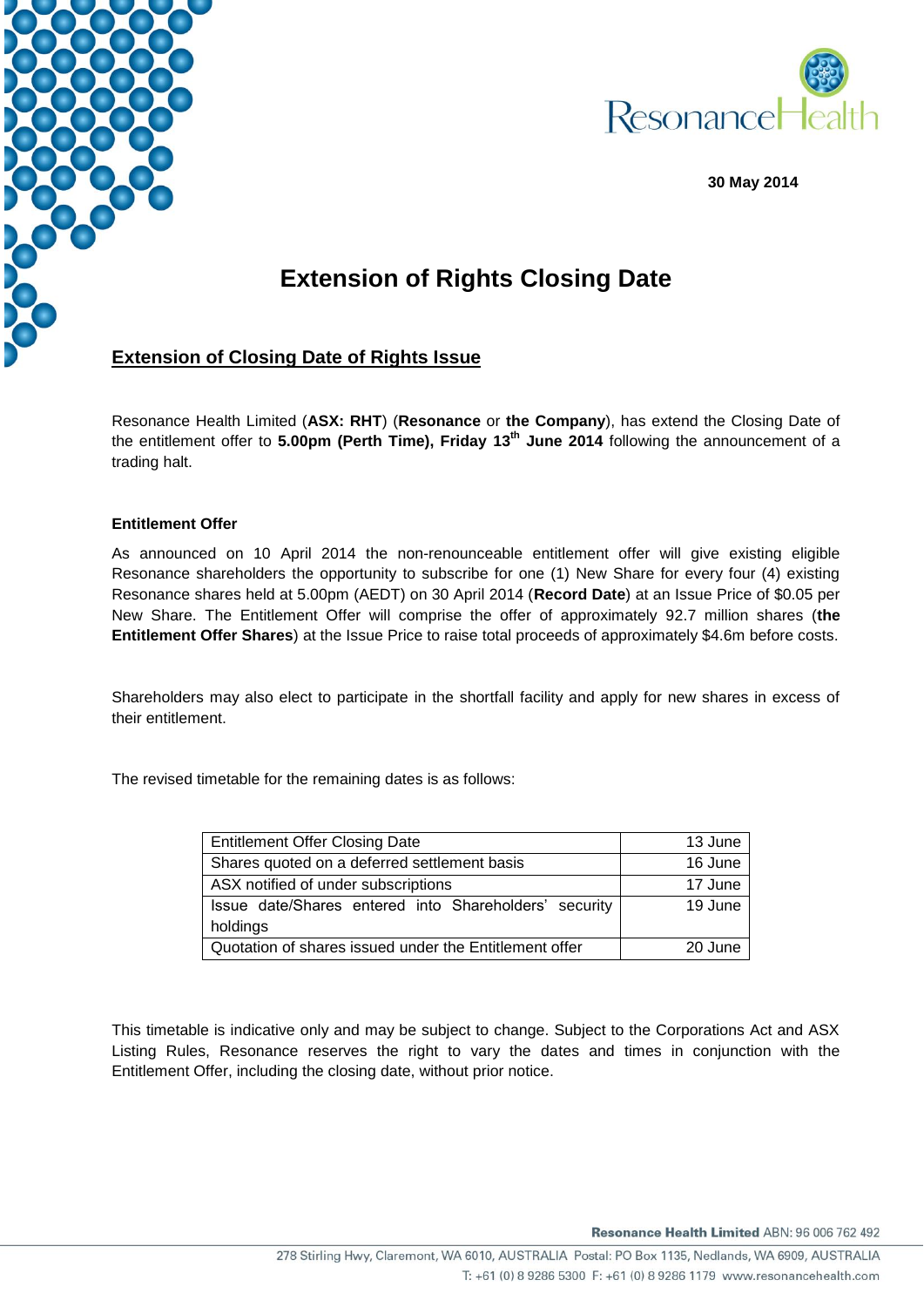



**30 May 2014**

## **Extension of Rights Closing Date**

## **Extension of Closing Date of Rights Issue**

Resonance Health Limited (**ASX: RHT**) (**Resonance** or **the Company**), has extend the Closing Date of the entitlement offer to **5.00pm (Perth Time), Friday 13th June 2014** following the announcement of a trading halt.

## **Entitlement Offer**

As announced on 10 April 2014 the non-renounceable entitlement offer will give existing eligible Resonance shareholders the opportunity to subscribe for one (1) New Share for every four (4) existing Resonance shares held at 5.00pm (AEDT) on 30 April 2014 (**Record Date**) at an Issue Price of \$0.05 per New Share. The Entitlement Offer will comprise the offer of approximately 92.7 million shares (**the Entitlement Offer Shares**) at the Issue Price to raise total proceeds of approximately \$4.6m before costs.

Shareholders may also elect to participate in the shortfall facility and apply for new shares in excess of their entitlement.

The revised timetable for the remaining dates is as follows:

| <b>Entitlement Offer Closing Date</b>                  | 13 June |
|--------------------------------------------------------|---------|
| Shares quoted on a deferred settlement basis           | 16 June |
| ASX notified of under subscriptions                    | 17 June |
| Issue date/Shares entered into Shareholders' security  | 19 June |
| holdings                                               |         |
| Quotation of shares issued under the Entitlement offer | 20 June |

This timetable is indicative only and may be subject to change. Subject to the Corporations Act and ASX Listing Rules, Resonance reserves the right to vary the dates and times in conjunction with the Entitlement Offer, including the closing date, without prior notice.